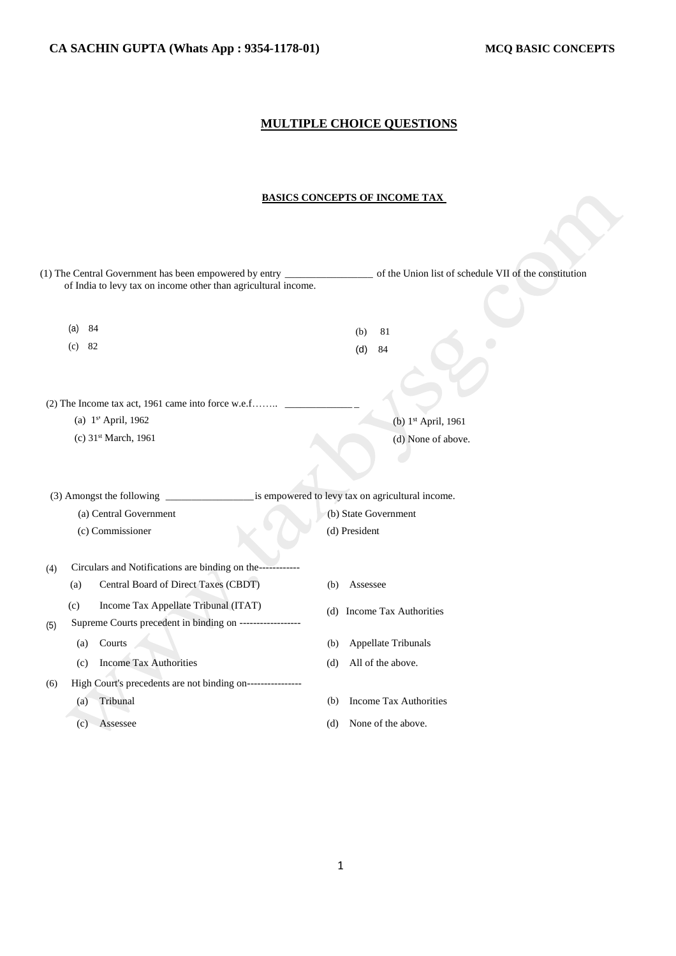# **MULTIPLE CHOICE QUESTIONS**

## **BASICS CONCEPTS OF INCOME TAX**

|     |           | (1) The Central Government has been empowered by entry                               |     |               |                               | of the Union list of schedule VII of the constitution |
|-----|-----------|--------------------------------------------------------------------------------------|-----|---------------|-------------------------------|-------------------------------------------------------|
|     |           | of India to levy tax on income other than agricultural income.                       |     |               |                               |                                                       |
|     | 84<br>(a) |                                                                                      |     |               |                               |                                                       |
|     |           |                                                                                      |     | (b)           | 81                            |                                                       |
|     | 82<br>(c) |                                                                                      |     | (d)           | 84                            |                                                       |
|     |           |                                                                                      |     |               |                               |                                                       |
|     |           | (2) The Income tax act, 1961 came into force w.e.f                                   |     |               |                               |                                                       |
|     |           | (a) 1 <sup>s'</sup> April, 1962                                                      |     |               |                               | (b) 1 <sup>st</sup> April, 1961                       |
|     |           | (c) 31 <sup>st</sup> March, 1961                                                     |     |               |                               | (d) None of above.                                    |
|     |           |                                                                                      |     |               |                               |                                                       |
|     |           |                                                                                      |     |               |                               |                                                       |
|     |           | is empowered to levy tax on agricultural income.<br>(3) Amongst the following ______ |     |               |                               |                                                       |
|     |           | (a) Central Government                                                               |     |               | (b) State Government          |                                                       |
|     |           | (c) Commissioner                                                                     |     | (d) President |                               |                                                       |
|     |           |                                                                                      |     |               |                               |                                                       |
| (4) |           | Circulars and Notifications are binding on the------------                           |     |               |                               |                                                       |
|     | (a)       | Central Board of Direct Taxes (CBDT)                                                 | (b) | Assessee      |                               |                                                       |
|     | (c)       | Income Tax Appellate Tribunal (ITAT)                                                 |     |               | (d) Income Tax Authorities    |                                                       |
| (5) |           | Supreme Courts precedent in binding on ------------------                            |     |               |                               |                                                       |
|     | (a)       | Courts                                                                               | (b) |               | Appellate Tribunals           |                                                       |
|     | (c)       | <b>Income Tax Authorities</b>                                                        | (d) |               | All of the above.             |                                                       |
| (6) |           | High Court's precedents are not binding on----------------                           |     |               |                               |                                                       |
|     | (a)       | Tribunal                                                                             | (b) |               | <b>Income Tax Authorities</b> |                                                       |
|     | (c)       | Assessee                                                                             | (d) |               | None of the above.            |                                                       |
|     |           |                                                                                      |     |               |                               |                                                       |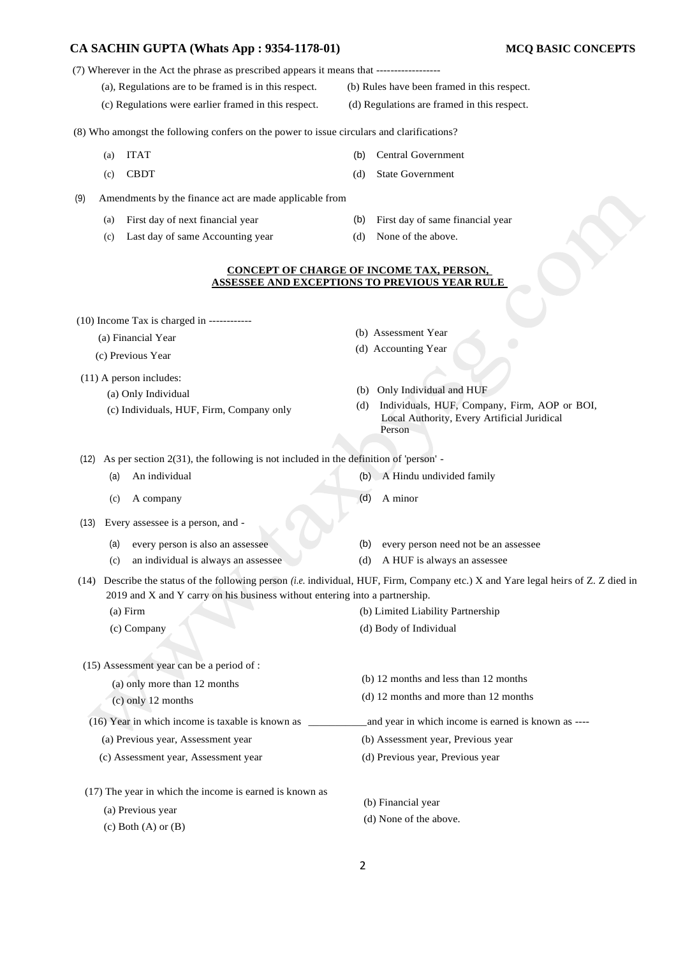- (7) Wherever in the Act the phrase as prescribed appears it means that ------------------
	- (a), Regulations are to be framed is in this respect. (b) Rules have been framed in this respect.
	- (c) Regulations were earlier framed in this respect. (d) Regulations are framed in this respect.

(8) Who amongst the following confers on the power to issue circulars and clarifications?

- 
- (c) CBDT (d) State Government
- (9) Amendments by the finance act are made applicable from
	- (a) First day of next financial year (b) First day of same financial year
	- (c) Last day of same Accounting year (d) None of the above.
- -

(b) Assessment Year (d) Accounting Year

#### **CONCEPT OF CHARGE OF INCOME TAX, PERSON, ASSESSEE AND EXCEPTIONS TO PREVIOUS YEAR RULE**

(10) Income Tax is charged in ------------

- (a) Financial Year
- (c) Previous Year
- (11) A person includes: (a) Only Individual (c) Individuals, HUF, Firm, Company only
- (b) Only Individual and HUF
- (d) Individuals, HUF, Company, Firm, AOP or BOI, Local Authority, Every Artificial Juridical Person

(12) As per section 2(31), the following is not included in the definition of 'person' -

- (a) An individual (b) A Hindu undivided family
	- (c) A company (d) A minor

(13) Every assessee is a person, and -

- 
- (a) every person is also an assessee (b) every person need not be an assessee
- (c) an individual is always an assessee (d) A HUF is always an assessee

(14) Describe the status of the following person *(i.e.* individual, HUF, Firm, Company etc.) X and Yare legal heirs of Z. Z died in 2019 and X and Y carry on his business without entering into a partnership.

(a) Firm (b) Limited Liability Partnership (c) Company (d) Body of Individual

(15) Assessment year can be a period of :

(a) only more than 12 months (c) only 12 months (b) 12 months and less than 12 months (d) 12 months and more than 12 months (16) Year in which income is taxable is known as \_\_\_\_\_\_\_\_\_\_\_and year in which income is earned is known as ----

(a) Previous year, Assessment year (b) Assessment year, Previous year

(c) Assessment year, Assessment year (d) Previous year, Previous year

(17) The year in which the income is earned is known as

(a) Previous year

 $(c)$  Both  $(A)$  or  $(B)$ 

(b) Financial year (d) None of the above.

- (a) ITAT (b) Central Government
	-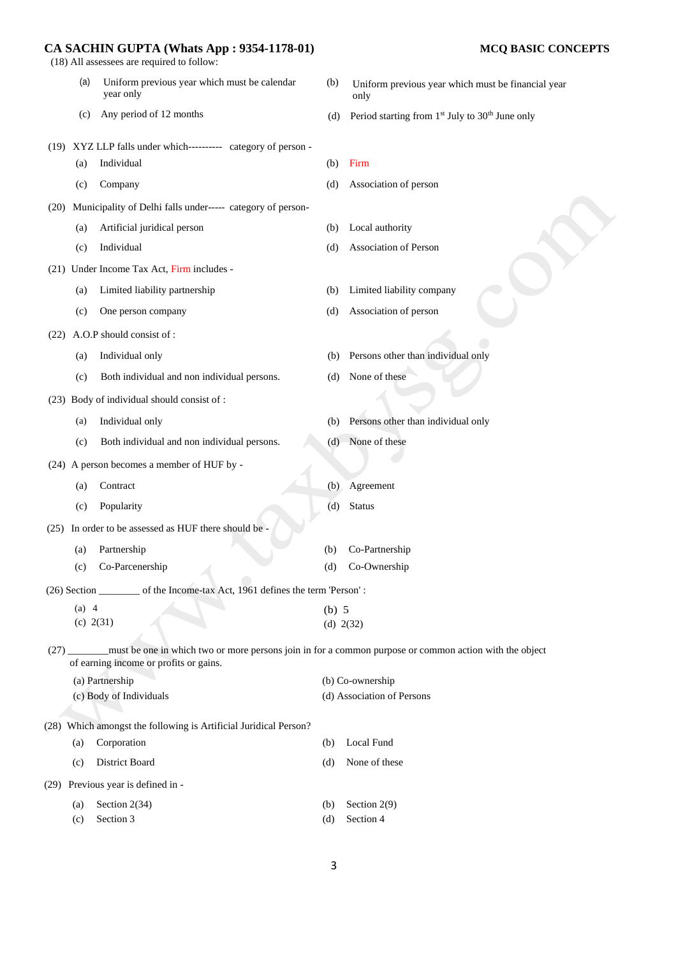(18) All assessees are required to follow:

- (a) Uniform previous year which must be calendar (b) year only
- 
- Uniform previous year which must be financial year
- (c) Any period of 12 months (d) Period starting from  $1<sup>st</sup>$  July to  $30<sup>th</sup>$  June only

only

- (19) XYZ LLP falls under which---------- category of person (a) Individual (b) Firm (c) Company (d) Association of person (20) Municipality of Delhi falls under----- category of person- (a) Artificial juridical person (b) Local authority (c) Individual (d) Association of Person (21) Under Income Tax Act, Firm includes - (a) Limited liability partnership (b) Limited liability company (c) One person company (d) Association of person (22) A.O.P should consist of : (a) Individual only (b) Persons other than individual only (c) Both individual and non individual persons. (d) None of these (23) Body of individual should consist of : (a) Individual only (b) Persons other than individual only (c) Both individual and non individual persons. (d) None of these (24) A person becomes a member of HUF by - (a) Contract (b) Agreement (c) Popularity (d) Status (25) In order to be assessed as HUF there should be - (a) Partnership (b) Co-Partnership (c) Co-Parcenership (d) Co-Ownership (26) Section \_\_\_\_\_\_\_\_ of the Income-tax Act, 1961 defines the term 'Person' : (a) 4 (c) 2(31) (b) 5 (d) 2(32) (27) \_\_\_\_\_\_\_\_must be one in which two or more persons join in for a common purpose or common action with the object of earning income or profits or gains. (a) Partnership (b) Co-ownership (c) Body of Individuals (d) Association of Persons (28) Which amongst the following is Artificial Juridical Person? (a) Corporation (b) Local Fund (c) District Board (d) None of these (29) Previous year is defined in - (a) Section  $2(34)$  (b) Section  $2(9)$ 
	- (c) Section 3 (d) Section 4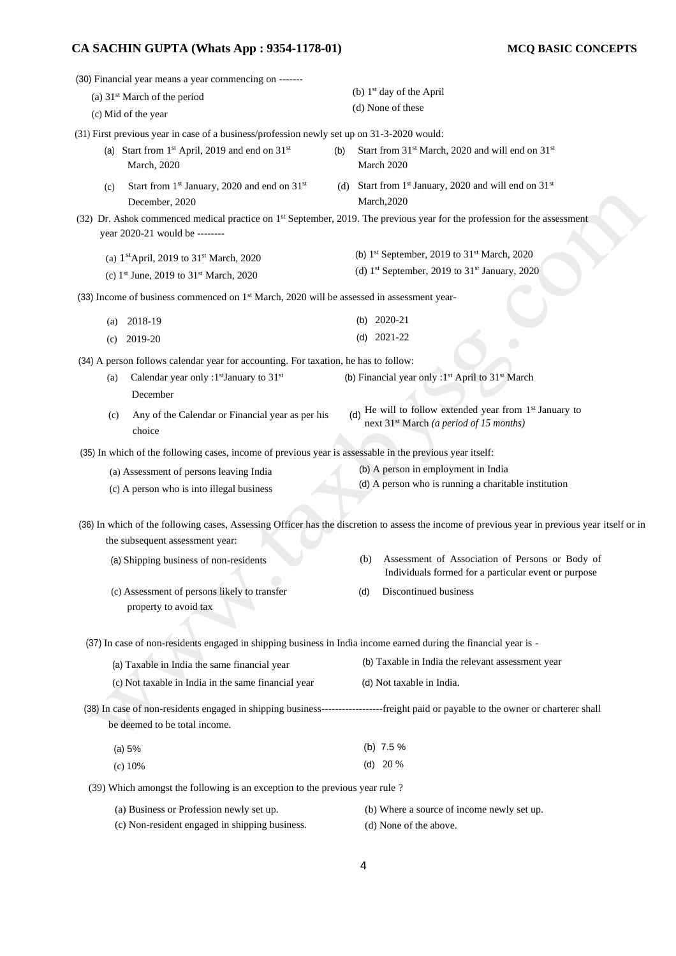|                                | (30) Financial year means a year commencing on -------                                                                            |     |                                      |                                                                                                                                                |  |
|--------------------------------|-----------------------------------------------------------------------------------------------------------------------------------|-----|--------------------------------------|------------------------------------------------------------------------------------------------------------------------------------------------|--|
| (a) $31st$ March of the period |                                                                                                                                   |     | (b) 1 <sup>st</sup> day of the April |                                                                                                                                                |  |
|                                | (c) Mid of the year                                                                                                               |     |                                      | (d) None of these                                                                                                                              |  |
|                                | (31) First previous year in case of a business/profession newly set up on 31-3-2020 would:                                        |     |                                      |                                                                                                                                                |  |
|                                | (a) Start from $1st$ April, 2019 and end on $31st$<br>March, 2020                                                                 | (b) |                                      | Start from 31 <sup>st</sup> March, 2020 and will end on 31 <sup>st</sup><br>March 2020                                                         |  |
| (c)                            | Start from 1 <sup>st</sup> January, 2020 and end on 31 <sup>st</sup><br>December, 2020                                            |     |                                      | (d) Start from 1 <sup>st</sup> January, 2020 and will end on $31st$<br>March, 2020                                                             |  |
|                                | year 2020-21 would be --------                                                                                                    |     |                                      | (32) Dr. Ashok commenced medical practice on 1 <sup>st</sup> September, 2019. The previous year for the profession for the assessment          |  |
|                                | (a) $1^{\text{st}}$ April, 2019 to $31^{\text{st}}$ March, 2020<br>(c) 1 <sup>st</sup> June, 2019 to 31 <sup>st</sup> March, 2020 |     |                                      | (b) $1st September$ , 2019 to $31st March$ , 2020<br>(d) $1st September$ , 2019 to $31st January$ , 2020                                       |  |
|                                |                                                                                                                                   |     |                                      |                                                                                                                                                |  |
|                                | (33) Income of business commenced on $1st$ March, 2020 will be assessed in assessment year-                                       |     |                                      |                                                                                                                                                |  |
| (a)                            | 2018-19                                                                                                                           |     | (b)                                  | 2020-21                                                                                                                                        |  |
| (c)                            | 2019-20                                                                                                                           |     | (d)                                  | 2021-22                                                                                                                                        |  |
|                                | (34) A person follows calendar year for accounting. For taxation, he has to follow:                                               |     |                                      |                                                                                                                                                |  |
| (a)                            | Calendar year only :1 <sup>st</sup> January to 31 <sup>st</sup><br>December                                                       |     |                                      | (b) Financial year only : 1 <sup>st</sup> April to 31 <sup>st</sup> March                                                                      |  |
| (c)                            | Any of the Calendar or Financial year as per his<br>choice                                                                        |     |                                      | He will to follow extended year from $1st$ January to<br>next 31 <sup>st</sup> March (a period of 15 months)                                   |  |
|                                | (35) In which of the following cases, income of previous year is assessable in the previous year itself:                          |     |                                      |                                                                                                                                                |  |
|                                | (a) Assessment of persons leaving India<br>(c) A person who is into illegal business                                              |     |                                      | (b) A person in employment in India<br>(d) A person who is running a charitable institution                                                    |  |
|                                |                                                                                                                                   |     |                                      |                                                                                                                                                |  |
|                                | the subsequent assessment year:                                                                                                   |     |                                      | (36) In which of the following cases, Assessing Officer has the discretion to assess the income of previous year in previous year itself or in |  |
|                                | (a) Shipping business of non-residents                                                                                            |     | (b)                                  | Assessment of Association of Persons or Body of<br>Individuals formed for a particular event or purpose                                        |  |
|                                | (c) Assessment of persons likely to transfer<br>property to avoid tax                                                             |     | (d)                                  | Discontinued business                                                                                                                          |  |
|                                | (37) In case of non-residents engaged in shipping business in India income earned during the financial year is -                  |     |                                      |                                                                                                                                                |  |
|                                |                                                                                                                                   |     |                                      | (b) Taxable in India the relevant assessment year                                                                                              |  |
|                                | (a) Taxable in India the same financial year                                                                                      |     |                                      |                                                                                                                                                |  |
|                                | (c) Not taxable in India in the same financial year                                                                               |     |                                      | (d) Not taxable in India.                                                                                                                      |  |
|                                | be deemed to be total income.                                                                                                     |     |                                      | (38) In case of non-residents engaged in shipping business-----------------freight paid or payable to the owner or charterer shall             |  |
|                                | (a) 5%                                                                                                                            |     |                                      | (b) $7.5\%$                                                                                                                                    |  |
|                                | $(c)$ 10%                                                                                                                         |     |                                      | (d) $20%$                                                                                                                                      |  |
|                                | (39) Which amongst the following is an exception to the previous year rule?                                                       |     |                                      |                                                                                                                                                |  |
|                                |                                                                                                                                   |     |                                      |                                                                                                                                                |  |
|                                | (a) Business or Profession newly set up.                                                                                          |     |                                      | (b) Where a source of income newly set up.                                                                                                     |  |
|                                | (c) Non-resident engaged in shipping business.                                                                                    |     |                                      | (d) None of the above.                                                                                                                         |  |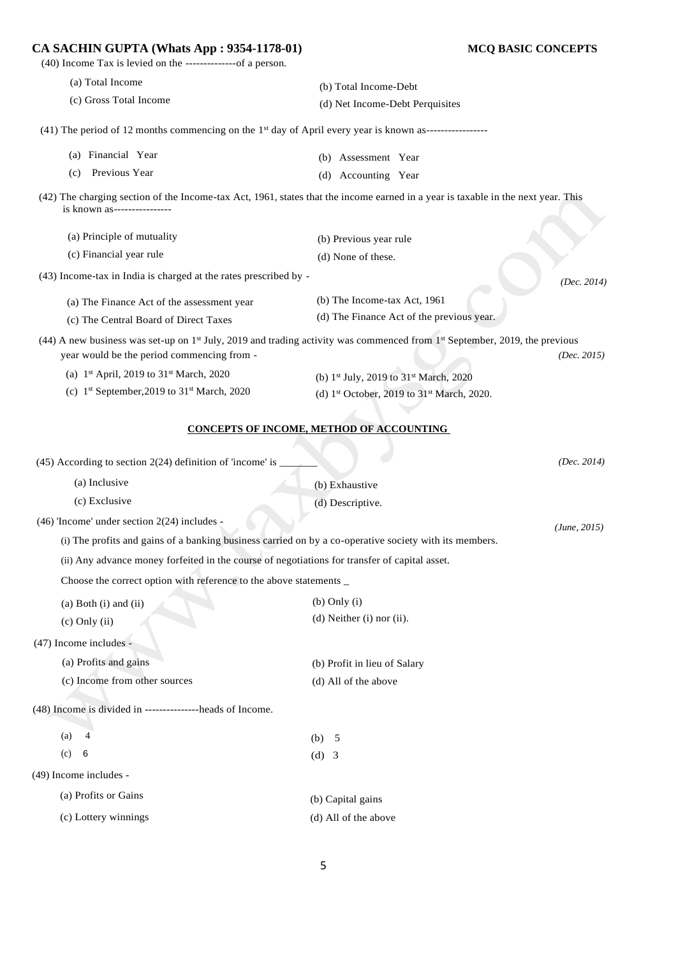(40) Income Tax is levied on the --------------of a person. (a) Total Income (c) Gross Total Income (b) Total Income-Debt (d) Net Income-Debt Perquisites  $(41)$  The period of 12 months commencing on the 1<sup>st</sup> day of April every year is known as------------------(a) Financial Year (c) Previous Year (b) Assessment Year (d) Accounting Year (42) The charging section of the Income-tax Act, 1961, states that the income earned in a year is taxable in the next year. This is known as---------------- (a) Principle of mutuality (c) Financial year rule (b) Previous year rule (d) None of these. (43) Income-tax in India is charged at the rates prescribed by - *(Dec. 2014)*  (a) The Finance Act of the assessment year (c) The Central Board of Direct Taxes (b) The Income-tax Act, 1961 (d) The Finance Act of the previous year.  $(44)$  A new business was set-up on 1<sup>st</sup> July, 2019 and trading activity was commenced from 1<sup>st</sup> September, 2019, the previous year would be the period commencing from - *(Dec. 2015)*  (a) 1 st April, 2019 to 31 st March, 2020 (c)  $1<sup>st</sup> September,2019$  to  $31<sup>st</sup> March, 2020$ (b) 1<sup>st</sup> July, 2019 to 31<sup>st</sup> March, 2020 (d) 1 st October, 2019 to 31st March, 2020. **CONCEPTS OF INCOME, METHOD OF ACCOUNTING**  (45) According to section 2(24) definition of 'income' is (a) Inclusive (c) Exclusive *(Dec. 2014)*  (b) Exhaustive (d) Descriptive. (46) 'Income' under section 2(24) includes - (i) The profits and gains of a banking business carried on by a co-operative society with its members. (ii) Any advance money forfeited in the course of negotiations for transfer of capital asset. Choose the correct option with reference to the above statements \_ *(June, 2015)* (a) Both (i) and (ii) (c) Only (ii) (b) Only (i) (d) Neither (i) nor (ii). (47) Income includes - (a) Profits and gains (c) Income from other sources (b) Profit in lieu of Salary (d) All of the above (48) Income is divided in ---------------heads of Income.  $(a)$  4 (c) 6 (b) 5 (d) 3 (49) Income includes - (a) Profits or Gains (c) Lottery winnings (b) Capital gains (d) All of the above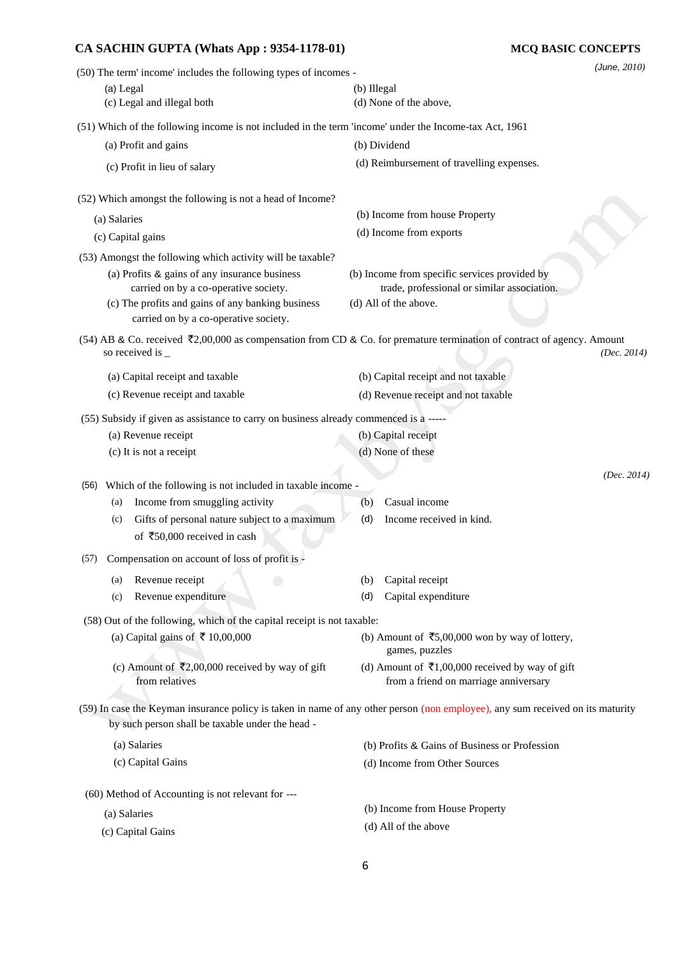# **CA SACHIN GUPTA (Whats App : 9354-1178-01) MCQ BASIC CONCEPTS** (50) The term' income' includes the following types of incomes - (a) Legal (b) Illegal (c) Legal and illegal both (d) None of the above,

(51) Which of the following income is not included in the term 'income' under the Income-tax Act, 1961

| (a) Profit and gains                                                                                                                        | (b) Dividend                                                                                                                                             |
|---------------------------------------------------------------------------------------------------------------------------------------------|----------------------------------------------------------------------------------------------------------------------------------------------------------|
| (c) Profit in lieu of salary                                                                                                                | (d) Reimbursement of travelling expenses.                                                                                                                |
| (52) Which amongst the following is not a head of Income?                                                                                   |                                                                                                                                                          |
| (a) Salaries                                                                                                                                | (b) Income from house Property                                                                                                                           |
| (c) Capital gains                                                                                                                           | (d) Income from exports                                                                                                                                  |
| (53) Amongst the following which activity will be taxable?                                                                                  |                                                                                                                                                          |
| (a) Profits & gains of any insurance business<br>carried on by a co-operative society.<br>(c) The profits and gains of any banking business | (b) Income from specific services provided by<br>trade, professional or similar association.<br>(d) All of the above.                                    |
| carried on by a co-operative society.                                                                                                       |                                                                                                                                                          |
| so received is _                                                                                                                            | (54) AB & Co. received $\bar{\mathcal{L}}$ 2,00,000 as compensation from CD & Co. for premature termination of contract of agency. Amount<br>(Dec. 2014) |
| (a) Capital receipt and taxable                                                                                                             | (b) Capital receipt and not taxable                                                                                                                      |
| (c) Revenue receipt and taxable                                                                                                             | (d) Revenue receipt and not taxable                                                                                                                      |
| (55) Subsidy if given as assistance to carry on business already commenced is a -----                                                       |                                                                                                                                                          |
| (a) Revenue receipt                                                                                                                         | (b) Capital receipt                                                                                                                                      |
| (c) It is not a receipt                                                                                                                     | (d) None of these                                                                                                                                        |
|                                                                                                                                             | (Dec. 2014)                                                                                                                                              |
| Which of the following is not included in taxable income -<br>(56)                                                                          |                                                                                                                                                          |
| Income from smuggling activity<br>(a)                                                                                                       | Casual income<br>(b)                                                                                                                                     |
| Gifts of personal nature subject to a maximum<br>(c)<br>of ₹50,000 received in cash                                                         | Income received in kind.<br>(d)                                                                                                                          |
| Compensation on account of loss of profit is -<br>(57)                                                                                      |                                                                                                                                                          |
| Revenue receipt<br>(a)                                                                                                                      | Capital receipt<br>(b)                                                                                                                                   |
| Revenue expenditure<br>(c)                                                                                                                  | Capital expenditure<br>(d)                                                                                                                               |
| (58) Out of the following, which of the capital receipt is not taxable:                                                                     |                                                                                                                                                          |
| (a) Capital gains of ₹10,00,000                                                                                                             | (b) Amount of ₹5,00,000 won by way of lottery,<br>games, puzzles                                                                                         |
| (c) Amount of ₹2,00,000 received by way of gift<br>from relatives                                                                           | (d) Amount of ₹1,00,000 received by way of gift<br>from a friend on marriage anniversary                                                                 |
|                                                                                                                                             | (59) In case the Keyman insurance policy is taken in name of any other person (non employee), any sum received on its maturity                           |
| by such person shall be taxable under the head -                                                                                            |                                                                                                                                                          |
| (a) Salaries                                                                                                                                | (b) Profits & Gains of Business or Profession                                                                                                            |
| (c) Capital Gains                                                                                                                           | (d) Income from Other Sources                                                                                                                            |
|                                                                                                                                             |                                                                                                                                                          |

(b) Income from House Property (d) All of the above

(c) Capital Gains

(a) Salaries

*(June, 2010)*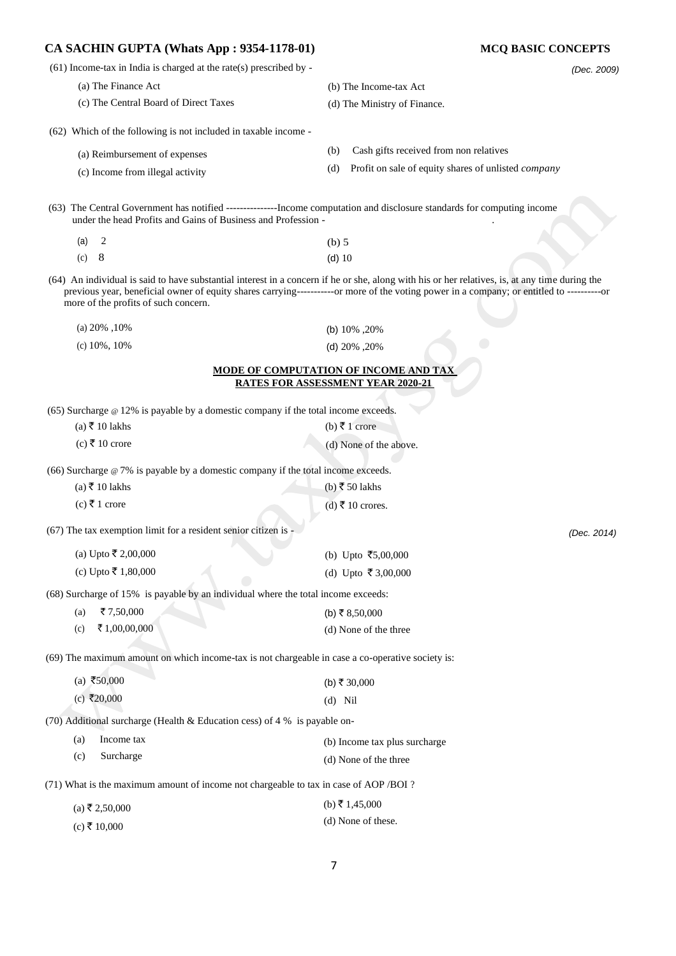| $(61)$ Income-tax in India is charged at the rate(s) prescribed by -<br>(Dec. 2009)<br>(a) The Finance Act<br>(b) The Income-tax Act<br>(c) The Central Board of Direct Taxes<br>(d) The Ministry of Finance.<br>(62) Which of the following is not included in taxable income -<br>Cash gifts received from non relatives<br>(b)<br>(a) Reimbursement of expenses<br>Profit on sale of equity shares of unlisted company<br>(d)<br>(c) Income from illegal activity<br>(63) The Central Government has notified -----------------Income computation and disclosure standards for computing income<br>under the head Profits and Gains of Business and Profession -<br>2<br>$(b)$ 5<br>(a)<br>8<br>(c)<br>$(d)$ 10<br>(64) An individual is said to have substantial interest in a concern if he or she, along with his or her relatives, is, at any time during the<br>previous year, beneficial owner of equity shares carrying-----------or more of the voting power in a company; or entitled to ---------------<br>more of the profits of such concern.<br>(a) $20\%$ , $10\%$<br>(b) $10\%$ , $20\%$<br>$(c)$ 10%, 10%<br>(d) $20\%$ , $20\%$<br>MODE OF COMPUTATION OF INCOME AND TAX<br><b>RATES FOR ASSESSMENT YEAR 2020-21</b><br>$(65)$ Surcharge $\omega$ 12% is payable by a domestic company if the total income exceeds.<br>$(a)$ ₹ 10 lakhs<br>(b) ₹ 1 crore<br>$(c)$ ₹ 10 crore<br>(d) None of the above.<br>(66) Surcharge $@ 7\%$ is payable by a domestic company if the total income exceeds.<br>$(a)$ ₹ 10 lakhs<br>(b) ₹ 50 lakhs<br>$(c)$ ₹ 1 crore<br>$(d)$ ₹ 10 crores.<br>(67) The tax exemption limit for a resident senior citizen is -<br>(Dec. 2014)<br>(a) Upto ₹ 2,00,000<br>(b) Upto ₹5,00,000<br>(c) Upto ₹ 1,80,000<br>(d) Upto ₹3,00,000<br>(68) Surcharge of 15% is payable by an individual where the total income exceeds:<br>₹7,50,000<br>(a)<br>(b) ₹ 8,50,000<br>₹1,00,00,000<br>(c)<br>(d) None of the three<br>(69) The maximum amount on which income-tax is not chargeable in case a co-operative society is:<br>(a) ₹50,000<br>(b) ₹ 30,000<br>(c) ₹20,000<br>$(d)$ Nil<br>(70) Additional surcharge (Health & Education cess) of $4\%$ is payable on-<br>Income tax<br>(a)<br>(b) Income tax plus surcharge<br>(c)<br>Surcharge<br>(d) None of the three<br>(71) What is the maximum amount of income not chargeable to tax in case of AOP /BOI ?<br>(b) ₹ 1,45,000<br>$(a)$ ₹ 2,50,000<br>(d) None of these.<br>$(c)$ ₹ 10,000 | CA SACHIN GUPTA (Whats App : 9354-1178-01) | <b>MCQ BASIC CONCEPTS</b> |
|----------------------------------------------------------------------------------------------------------------------------------------------------------------------------------------------------------------------------------------------------------------------------------------------------------------------------------------------------------------------------------------------------------------------------------------------------------------------------------------------------------------------------------------------------------------------------------------------------------------------------------------------------------------------------------------------------------------------------------------------------------------------------------------------------------------------------------------------------------------------------------------------------------------------------------------------------------------------------------------------------------------------------------------------------------------------------------------------------------------------------------------------------------------------------------------------------------------------------------------------------------------------------------------------------------------------------------------------------------------------------------------------------------------------------------------------------------------------------------------------------------------------------------------------------------------------------------------------------------------------------------------------------------------------------------------------------------------------------------------------------------------------------------------------------------------------------------------------------------------------------------------------------------------------------------------------------------------------------------------------------------------------------------------------------------------------------------------------------------------------------------------------------------------------------------------------------------------------------------------------------------------------------------------------------------------------------------------------------------------------------------------------------------------------------------------------------------------------------------|--------------------------------------------|---------------------------|
|                                                                                                                                                                                                                                                                                                                                                                                                                                                                                                                                                                                                                                                                                                                                                                                                                                                                                                                                                                                                                                                                                                                                                                                                                                                                                                                                                                                                                                                                                                                                                                                                                                                                                                                                                                                                                                                                                                                                                                                                                                                                                                                                                                                                                                                                                                                                                                                                                                                                                  |                                            |                           |
|                                                                                                                                                                                                                                                                                                                                                                                                                                                                                                                                                                                                                                                                                                                                                                                                                                                                                                                                                                                                                                                                                                                                                                                                                                                                                                                                                                                                                                                                                                                                                                                                                                                                                                                                                                                                                                                                                                                                                                                                                                                                                                                                                                                                                                                                                                                                                                                                                                                                                  |                                            |                           |
|                                                                                                                                                                                                                                                                                                                                                                                                                                                                                                                                                                                                                                                                                                                                                                                                                                                                                                                                                                                                                                                                                                                                                                                                                                                                                                                                                                                                                                                                                                                                                                                                                                                                                                                                                                                                                                                                                                                                                                                                                                                                                                                                                                                                                                                                                                                                                                                                                                                                                  |                                            |                           |
|                                                                                                                                                                                                                                                                                                                                                                                                                                                                                                                                                                                                                                                                                                                                                                                                                                                                                                                                                                                                                                                                                                                                                                                                                                                                                                                                                                                                                                                                                                                                                                                                                                                                                                                                                                                                                                                                                                                                                                                                                                                                                                                                                                                                                                                                                                                                                                                                                                                                                  |                                            |                           |
|                                                                                                                                                                                                                                                                                                                                                                                                                                                                                                                                                                                                                                                                                                                                                                                                                                                                                                                                                                                                                                                                                                                                                                                                                                                                                                                                                                                                                                                                                                                                                                                                                                                                                                                                                                                                                                                                                                                                                                                                                                                                                                                                                                                                                                                                                                                                                                                                                                                                                  |                                            |                           |
|                                                                                                                                                                                                                                                                                                                                                                                                                                                                                                                                                                                                                                                                                                                                                                                                                                                                                                                                                                                                                                                                                                                                                                                                                                                                                                                                                                                                                                                                                                                                                                                                                                                                                                                                                                                                                                                                                                                                                                                                                                                                                                                                                                                                                                                                                                                                                                                                                                                                                  |                                            |                           |
|                                                                                                                                                                                                                                                                                                                                                                                                                                                                                                                                                                                                                                                                                                                                                                                                                                                                                                                                                                                                                                                                                                                                                                                                                                                                                                                                                                                                                                                                                                                                                                                                                                                                                                                                                                                                                                                                                                                                                                                                                                                                                                                                                                                                                                                                                                                                                                                                                                                                                  |                                            |                           |
|                                                                                                                                                                                                                                                                                                                                                                                                                                                                                                                                                                                                                                                                                                                                                                                                                                                                                                                                                                                                                                                                                                                                                                                                                                                                                                                                                                                                                                                                                                                                                                                                                                                                                                                                                                                                                                                                                                                                                                                                                                                                                                                                                                                                                                                                                                                                                                                                                                                                                  |                                            |                           |
|                                                                                                                                                                                                                                                                                                                                                                                                                                                                                                                                                                                                                                                                                                                                                                                                                                                                                                                                                                                                                                                                                                                                                                                                                                                                                                                                                                                                                                                                                                                                                                                                                                                                                                                                                                                                                                                                                                                                                                                                                                                                                                                                                                                                                                                                                                                                                                                                                                                                                  |                                            |                           |
|                                                                                                                                                                                                                                                                                                                                                                                                                                                                                                                                                                                                                                                                                                                                                                                                                                                                                                                                                                                                                                                                                                                                                                                                                                                                                                                                                                                                                                                                                                                                                                                                                                                                                                                                                                                                                                                                                                                                                                                                                                                                                                                                                                                                                                                                                                                                                                                                                                                                                  |                                            |                           |
|                                                                                                                                                                                                                                                                                                                                                                                                                                                                                                                                                                                                                                                                                                                                                                                                                                                                                                                                                                                                                                                                                                                                                                                                                                                                                                                                                                                                                                                                                                                                                                                                                                                                                                                                                                                                                                                                                                                                                                                                                                                                                                                                                                                                                                                                                                                                                                                                                                                                                  |                                            |                           |
|                                                                                                                                                                                                                                                                                                                                                                                                                                                                                                                                                                                                                                                                                                                                                                                                                                                                                                                                                                                                                                                                                                                                                                                                                                                                                                                                                                                                                                                                                                                                                                                                                                                                                                                                                                                                                                                                                                                                                                                                                                                                                                                                                                                                                                                                                                                                                                                                                                                                                  |                                            |                           |
|                                                                                                                                                                                                                                                                                                                                                                                                                                                                                                                                                                                                                                                                                                                                                                                                                                                                                                                                                                                                                                                                                                                                                                                                                                                                                                                                                                                                                                                                                                                                                                                                                                                                                                                                                                                                                                                                                                                                                                                                                                                                                                                                                                                                                                                                                                                                                                                                                                                                                  |                                            |                           |
|                                                                                                                                                                                                                                                                                                                                                                                                                                                                                                                                                                                                                                                                                                                                                                                                                                                                                                                                                                                                                                                                                                                                                                                                                                                                                                                                                                                                                                                                                                                                                                                                                                                                                                                                                                                                                                                                                                                                                                                                                                                                                                                                                                                                                                                                                                                                                                                                                                                                                  |                                            |                           |
|                                                                                                                                                                                                                                                                                                                                                                                                                                                                                                                                                                                                                                                                                                                                                                                                                                                                                                                                                                                                                                                                                                                                                                                                                                                                                                                                                                                                                                                                                                                                                                                                                                                                                                                                                                                                                                                                                                                                                                                                                                                                                                                                                                                                                                                                                                                                                                                                                                                                                  |                                            |                           |
|                                                                                                                                                                                                                                                                                                                                                                                                                                                                                                                                                                                                                                                                                                                                                                                                                                                                                                                                                                                                                                                                                                                                                                                                                                                                                                                                                                                                                                                                                                                                                                                                                                                                                                                                                                                                                                                                                                                                                                                                                                                                                                                                                                                                                                                                                                                                                                                                                                                                                  |                                            |                           |
|                                                                                                                                                                                                                                                                                                                                                                                                                                                                                                                                                                                                                                                                                                                                                                                                                                                                                                                                                                                                                                                                                                                                                                                                                                                                                                                                                                                                                                                                                                                                                                                                                                                                                                                                                                                                                                                                                                                                                                                                                                                                                                                                                                                                                                                                                                                                                                                                                                                                                  |                                            |                           |
|                                                                                                                                                                                                                                                                                                                                                                                                                                                                                                                                                                                                                                                                                                                                                                                                                                                                                                                                                                                                                                                                                                                                                                                                                                                                                                                                                                                                                                                                                                                                                                                                                                                                                                                                                                                                                                                                                                                                                                                                                                                                                                                                                                                                                                                                                                                                                                                                                                                                                  |                                            |                           |
|                                                                                                                                                                                                                                                                                                                                                                                                                                                                                                                                                                                                                                                                                                                                                                                                                                                                                                                                                                                                                                                                                                                                                                                                                                                                                                                                                                                                                                                                                                                                                                                                                                                                                                                                                                                                                                                                                                                                                                                                                                                                                                                                                                                                                                                                                                                                                                                                                                                                                  |                                            |                           |
|                                                                                                                                                                                                                                                                                                                                                                                                                                                                                                                                                                                                                                                                                                                                                                                                                                                                                                                                                                                                                                                                                                                                                                                                                                                                                                                                                                                                                                                                                                                                                                                                                                                                                                                                                                                                                                                                                                                                                                                                                                                                                                                                                                                                                                                                                                                                                                                                                                                                                  |                                            |                           |
|                                                                                                                                                                                                                                                                                                                                                                                                                                                                                                                                                                                                                                                                                                                                                                                                                                                                                                                                                                                                                                                                                                                                                                                                                                                                                                                                                                                                                                                                                                                                                                                                                                                                                                                                                                                                                                                                                                                                                                                                                                                                                                                                                                                                                                                                                                                                                                                                                                                                                  |                                            |                           |
|                                                                                                                                                                                                                                                                                                                                                                                                                                                                                                                                                                                                                                                                                                                                                                                                                                                                                                                                                                                                                                                                                                                                                                                                                                                                                                                                                                                                                                                                                                                                                                                                                                                                                                                                                                                                                                                                                                                                                                                                                                                                                                                                                                                                                                                                                                                                                                                                                                                                                  |                                            |                           |
|                                                                                                                                                                                                                                                                                                                                                                                                                                                                                                                                                                                                                                                                                                                                                                                                                                                                                                                                                                                                                                                                                                                                                                                                                                                                                                                                                                                                                                                                                                                                                                                                                                                                                                                                                                                                                                                                                                                                                                                                                                                                                                                                                                                                                                                                                                                                                                                                                                                                                  |                                            |                           |
|                                                                                                                                                                                                                                                                                                                                                                                                                                                                                                                                                                                                                                                                                                                                                                                                                                                                                                                                                                                                                                                                                                                                                                                                                                                                                                                                                                                                                                                                                                                                                                                                                                                                                                                                                                                                                                                                                                                                                                                                                                                                                                                                                                                                                                                                                                                                                                                                                                                                                  |                                            |                           |
|                                                                                                                                                                                                                                                                                                                                                                                                                                                                                                                                                                                                                                                                                                                                                                                                                                                                                                                                                                                                                                                                                                                                                                                                                                                                                                                                                                                                                                                                                                                                                                                                                                                                                                                                                                                                                                                                                                                                                                                                                                                                                                                                                                                                                                                                                                                                                                                                                                                                                  |                                            |                           |
|                                                                                                                                                                                                                                                                                                                                                                                                                                                                                                                                                                                                                                                                                                                                                                                                                                                                                                                                                                                                                                                                                                                                                                                                                                                                                                                                                                                                                                                                                                                                                                                                                                                                                                                                                                                                                                                                                                                                                                                                                                                                                                                                                                                                                                                                                                                                                                                                                                                                                  |                                            |                           |
|                                                                                                                                                                                                                                                                                                                                                                                                                                                                                                                                                                                                                                                                                                                                                                                                                                                                                                                                                                                                                                                                                                                                                                                                                                                                                                                                                                                                                                                                                                                                                                                                                                                                                                                                                                                                                                                                                                                                                                                                                                                                                                                                                                                                                                                                                                                                                                                                                                                                                  |                                            |                           |
|                                                                                                                                                                                                                                                                                                                                                                                                                                                                                                                                                                                                                                                                                                                                                                                                                                                                                                                                                                                                                                                                                                                                                                                                                                                                                                                                                                                                                                                                                                                                                                                                                                                                                                                                                                                                                                                                                                                                                                                                                                                                                                                                                                                                                                                                                                                                                                                                                                                                                  |                                            |                           |
|                                                                                                                                                                                                                                                                                                                                                                                                                                                                                                                                                                                                                                                                                                                                                                                                                                                                                                                                                                                                                                                                                                                                                                                                                                                                                                                                                                                                                                                                                                                                                                                                                                                                                                                                                                                                                                                                                                                                                                                                                                                                                                                                                                                                                                                                                                                                                                                                                                                                                  |                                            |                           |
|                                                                                                                                                                                                                                                                                                                                                                                                                                                                                                                                                                                                                                                                                                                                                                                                                                                                                                                                                                                                                                                                                                                                                                                                                                                                                                                                                                                                                                                                                                                                                                                                                                                                                                                                                                                                                                                                                                                                                                                                                                                                                                                                                                                                                                                                                                                                                                                                                                                                                  |                                            |                           |
|                                                                                                                                                                                                                                                                                                                                                                                                                                                                                                                                                                                                                                                                                                                                                                                                                                                                                                                                                                                                                                                                                                                                                                                                                                                                                                                                                                                                                                                                                                                                                                                                                                                                                                                                                                                                                                                                                                                                                                                                                                                                                                                                                                                                                                                                                                                                                                                                                                                                                  |                                            |                           |
|                                                                                                                                                                                                                                                                                                                                                                                                                                                                                                                                                                                                                                                                                                                                                                                                                                                                                                                                                                                                                                                                                                                                                                                                                                                                                                                                                                                                                                                                                                                                                                                                                                                                                                                                                                                                                                                                                                                                                                                                                                                                                                                                                                                                                                                                                                                                                                                                                                                                                  |                                            |                           |
|                                                                                                                                                                                                                                                                                                                                                                                                                                                                                                                                                                                                                                                                                                                                                                                                                                                                                                                                                                                                                                                                                                                                                                                                                                                                                                                                                                                                                                                                                                                                                                                                                                                                                                                                                                                                                                                                                                                                                                                                                                                                                                                                                                                                                                                                                                                                                                                                                                                                                  |                                            |                           |
|                                                                                                                                                                                                                                                                                                                                                                                                                                                                                                                                                                                                                                                                                                                                                                                                                                                                                                                                                                                                                                                                                                                                                                                                                                                                                                                                                                                                                                                                                                                                                                                                                                                                                                                                                                                                                                                                                                                                                                                                                                                                                                                                                                                                                                                                                                                                                                                                                                                                                  |                                            |                           |
|                                                                                                                                                                                                                                                                                                                                                                                                                                                                                                                                                                                                                                                                                                                                                                                                                                                                                                                                                                                                                                                                                                                                                                                                                                                                                                                                                                                                                                                                                                                                                                                                                                                                                                                                                                                                                                                                                                                                                                                                                                                                                                                                                                                                                                                                                                                                                                                                                                                                                  |                                            |                           |
|                                                                                                                                                                                                                                                                                                                                                                                                                                                                                                                                                                                                                                                                                                                                                                                                                                                                                                                                                                                                                                                                                                                                                                                                                                                                                                                                                                                                                                                                                                                                                                                                                                                                                                                                                                                                                                                                                                                                                                                                                                                                                                                                                                                                                                                                                                                                                                                                                                                                                  |                                            |                           |
|                                                                                                                                                                                                                                                                                                                                                                                                                                                                                                                                                                                                                                                                                                                                                                                                                                                                                                                                                                                                                                                                                                                                                                                                                                                                                                                                                                                                                                                                                                                                                                                                                                                                                                                                                                                                                                                                                                                                                                                                                                                                                                                                                                                                                                                                                                                                                                                                                                                                                  |                                            |                           |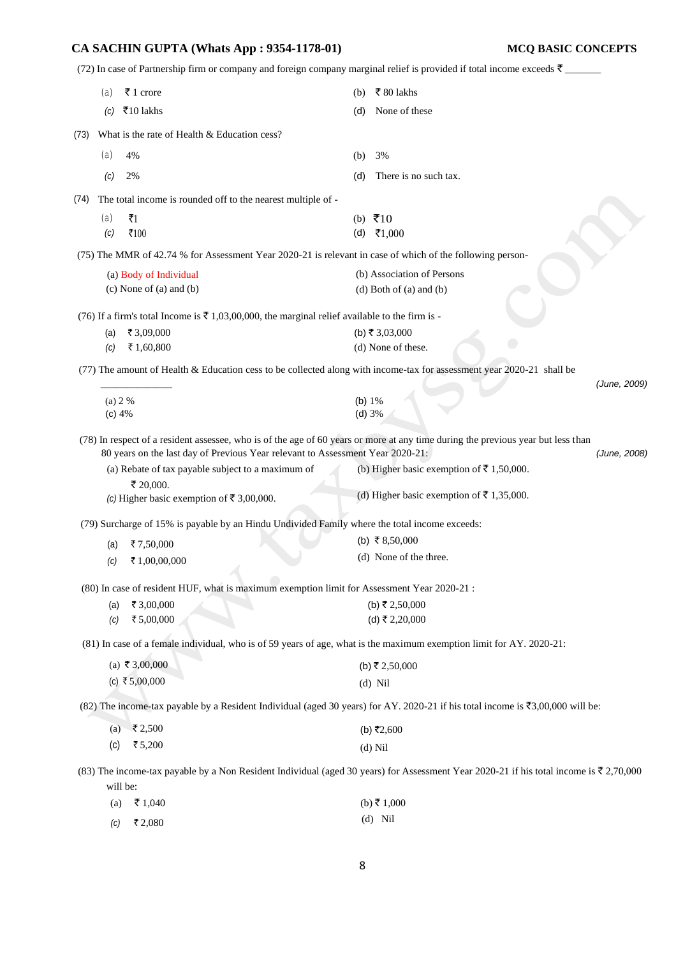(72) In case of Partnership firm or company and foreign company marginal relief is provided if total income exceeds  $\bar{\tau}$ 

|      | (a)        | ₹ 1 crore                                                                                                                        | (b)      | ₹80 lakhs                                                                                                                              |              |
|------|------------|----------------------------------------------------------------------------------------------------------------------------------|----------|----------------------------------------------------------------------------------------------------------------------------------------|--------------|
|      | (C)        | ₹10 lakhs                                                                                                                        | (d)      | None of these                                                                                                                          |              |
| (73) |            | What is the rate of Health & Education cess?                                                                                     |          |                                                                                                                                        |              |
|      | (a)        | 4%                                                                                                                               | (b)      | 3%                                                                                                                                     |              |
|      | (C)        | 2%                                                                                                                               | (d)      | There is no such tax.                                                                                                                  |              |
| (74) |            | The total income is rounded off to the nearest multiple of -                                                                     |          |                                                                                                                                        |              |
|      | (a)        | $\bar{z}_1$                                                                                                                      |          | (b) $\bar{x}$ 10                                                                                                                       |              |
|      | (c)        | $\overline{5}100$                                                                                                                |          | (d) ₹1,000                                                                                                                             |              |
|      |            | (75) The MMR of 42.74 % for Assessment Year 2020-21 is relevant in case of which of the following person-                        |          |                                                                                                                                        |              |
|      |            | (a) Body of Individual                                                                                                           |          | (b) Association of Persons                                                                                                             |              |
|      |            | $(c)$ None of $(a)$ and $(b)$                                                                                                    |          | $(d)$ Both of $(a)$ and $(b)$                                                                                                          |              |
|      |            | (76) If a firm's total Income is $\bar{\tau}$ 1,03,00,000, the marginal relief available to the firm is -                        |          |                                                                                                                                        |              |
|      | (a)        | ₹ 3,09,000                                                                                                                       |          | (b) ₹ 3,03,000                                                                                                                         |              |
|      | (c)        | ₹ 1,60,800                                                                                                                       |          | (d) None of these.                                                                                                                     |              |
|      |            | (77) The amount of Health & Education cess to be collected along with income-tax for assessment year 2020-21 shall be            |          |                                                                                                                                        |              |
|      |            |                                                                                                                                  |          |                                                                                                                                        | (June, 2009) |
|      | (a) 2 %    |                                                                                                                                  | (b) $1%$ |                                                                                                                                        |              |
|      | (c) 4%     |                                                                                                                                  |          | (d) 3%                                                                                                                                 |              |
|      |            | (78) In respect of a resident assessee, who is of the age of 60 years or more at any time during the previous year but less than |          |                                                                                                                                        |              |
|      |            | 80 years on the last day of Previous Year relevant to Assessment Year 2020-21:                                                   |          |                                                                                                                                        | (June, 2008) |
|      |            | (a) Rebate of tax payable subject to a maximum of<br>₹ 20,000.                                                                   |          | (b) Higher basic exemption of ₹ 1,50,000.                                                                                              |              |
|      |            | (c) Higher basic exemption of ₹ 3,00,000.                                                                                        |          | (d) Higher basic exemption of ₹ 1,35,000.                                                                                              |              |
|      |            | (79) Surcharge of 15% is payable by an Hindu Undivided Family where the total income exceeds:                                    |          |                                                                                                                                        |              |
|      | (a)        | ₹7,50,000                                                                                                                        |          | (b) ₹ 8,50,000                                                                                                                         |              |
|      | (c)        | ₹1,00,00,000                                                                                                                     |          | (d) None of the three.                                                                                                                 |              |
|      |            |                                                                                                                                  |          |                                                                                                                                        |              |
|      |            | (80) In case of resident HUF, what is maximum exemption limit for Assessment Year 2020-21 :                                      |          |                                                                                                                                        |              |
|      | (a)<br>(c) | ₹ 3,00,000<br>₹5,00,000                                                                                                          |          | (b) ₹ 2,50,000<br>(d) ₹ 2,20,000                                                                                                       |              |
|      |            |                                                                                                                                  |          |                                                                                                                                        |              |
|      |            | (81) In case of a female individual, who is of 59 years of age, what is the maximum exemption limit for AY. 2020-21:             |          |                                                                                                                                        |              |
|      |            | (a) ₹ 3,00,000                                                                                                                   |          | (b) ₹ 2,50,000                                                                                                                         |              |
|      |            | (c) ₹5,00,000                                                                                                                    |          | $(d)$ Nil                                                                                                                              |              |
|      |            |                                                                                                                                  |          | (82) The income-tax payable by a Resident Individual (aged 30 years) for AY. 2020-21 if his total income is ₹3,00,000 will be:         |              |
|      | (a)        | $\sqrt{5}$ 2,500                                                                                                                 |          | (b) ₹2,600                                                                                                                             |              |
|      | (c)        | ₹ 5,200                                                                                                                          |          | $(d)$ Nil                                                                                                                              |              |
|      |            |                                                                                                                                  |          | (83) The income-tax payable by a Non Resident Individual (aged 30 years) for Assessment Year 2020-21 if his total income is ₹ 2,70,000 |              |
|      | will be:   |                                                                                                                                  |          |                                                                                                                                        |              |
|      | (a)        | ₹1,040                                                                                                                           |          | (b) ₹ 1,000                                                                                                                            |              |
|      | (C)        | ₹2,080                                                                                                                           |          | $(d)$ Nil                                                                                                                              |              |
|      |            |                                                                                                                                  |          |                                                                                                                                        |              |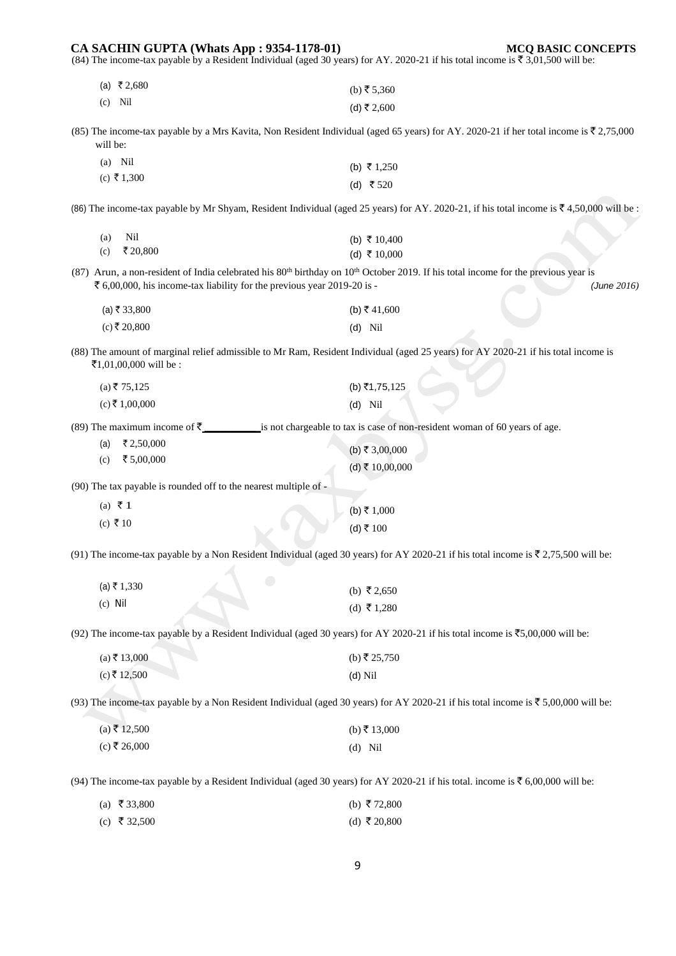## (84) The income-tax payable by a Resident Individual (aged 30 years) for AY. 2020-21 if his total income is  $\overline{\tau}$  3,01,500 will be:  $(a) \t{3} \t{2,680}$ (c) Nil  $(b)$  ₹ 5,360  $(d)$  ₹ 2,600 (85) The income-tax payable by a Mrs Kavita, Non Resident Individual (aged 65 years) for AY. 2020-21 if her total income is  $\overline{\ell}$  2,75,000 will be: (a) Nil  $(c)$  ₹ 1,300 (b) ₹ 1,250 (d) ₹ 520 (86) The income-tax payable by Mr Shyam, Resident Individual (aged 25 years) for AY. 2020-21, if his total income is  $\overline{\ell}4,50,000$  will be : (a) Nil (c) ₹ 20,800 (b) ₹ 10,400 (d) ₹ 10,000 (87) Arun, a non-resident of India celebrated his  $80<sup>th</sup>$  birthday on  $10<sup>th</sup>$  October 2019. If his total income for the previous year is ` 6,00,000, his income-tax liability for the previous year 2019-20 is - *(June 2016)*   $(a)$ ₹ 33,800  $(c)$ ₹ 20,800 (b) ₹ 41,600 (d) Nil (88) The amount of marginal relief admissible to Mr Ram, Resident Individual (aged 25 years) for AY 2020-21 if his total income is ₹1,01,00,000 will be :  $(a)$  ₹ 75,125  $(c)$  ₹ 1,00,000  $(b)$ ₹1,75,125 (d) Nil (89) The maximum income of  $\bar{\tau}$  \_\_\_\_\_\_\_\_\_\_\_\_\_\_\_is not chargeable to tax is case of non-resident woman of 60 years of age.  $(a)$  ₹ 2,50,000  $(c)$  ₹ 5,00,000  $(b)$  ₹ 3,00,000  $(d)$  ₹ 10,00,000 (90) The tax payable is rounded off to the nearest multiple of -  $(a) \notin 1$  $(c)$  ₹ 10  $(b) ₹ 1,000$  $(d)$  ₹ 100 (91) The income-tax payable by a Non Resident Individual (aged 30 years) for AY 2020-21 if his total income is  $\overline{\mathfrak{c}}$  2,75,500 will be:  $(a) ₹ 1,330$ (c) Nil (b) ₹ 2,650  $(d)$  ₹ 1,280 (92) The income-tax payable by a Resident Individual (aged 30 years) for AY 2020-21 if his total income is  $\overline{5}5,00,000$  will be:  $(a) \bar{z} 13,000$  $(c)$  ₹ 12,500  $(b)$  ₹ 25,750 (d) Nil (93) The income-tax payable by a Non Resident Individual (aged 30 years) for AY 2020-21 if his total income is  $\bar{\tau}$  5,00,000 will be:  $(a) \bar{z}$  12,500  $(c)$  ₹ 26,000  $(b)$ ₹ 13,000 (d) Nil (94) The income-tax payable by a Resident Individual (aged 30 years) for AY 2020-21 if his total. income is  $\bar{\tau}$  6,00,000 will be: (a) ₹ 33,800 (c) ₹ 32,500 (b) ₹72,800 (d) ₹ 20,800

**CA SACHIN GUPTA (Whats App : 9354-1178-01) MCQ BASIC CONCEPTS**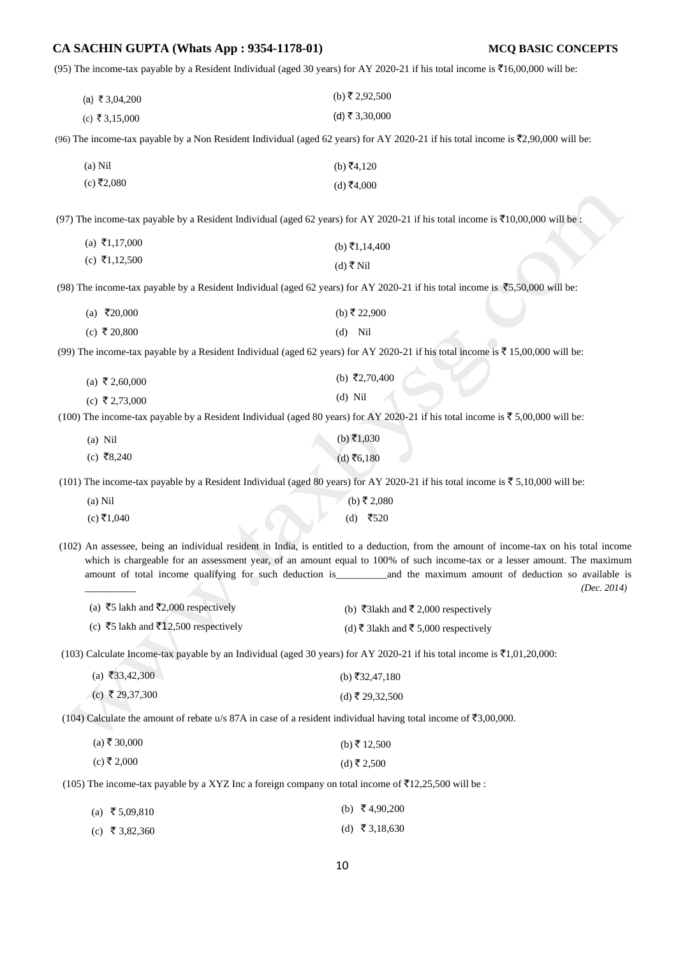(95) The income-tax payable by a Resident Individual (aged 30 years) for AY 2020-21 if his total income is  $\bar{\tau}16,00,000$  will be:

| (a) ₹ 3,04,200 | (b) ₹ 2,92,500 |
|----------------|----------------|
| (c) ₹ 3,15,000 | (d) ₹ 3,30,000 |

(96) The income-tax payable by a Non Resident Individual (aged 62 years) for AY 2020-21 if his total income is  $\bar{\tau}$ 2,90,000 will be:

| $(a)$ Nil  | (b) ₹4,120 |
|------------|------------|
| (c) ₹2,080 | (d) ₹4,000 |

(97) The income-tax payable by a Resident Individual (aged 62 years) for AY 2020-21 if his total income is  $\bar{\tau}10,00,000$  will be :

| (a) ₹1,17,000 | (b) ₹1,14,400 |
|---------------|---------------|
| (c) ₹1,12,500 | (d) ₹ Nil     |

(98) The income-tax payable by a Resident Individual (aged 62 years) for AY 2020-21 if his total income is  $\overline{5}5,50,000$  will be:

| (a) ₹20,000  | (b) ₹ 22,900 |
|--------------|--------------|
| (c) ₹ 20,800 | $(d)$ Nil    |

(99) The income-tax payable by a Resident Individual (aged 62 years) for AY 2020-21 if his total income is  $\bar{\bar{\tau}}$  15,00,000 will be:

| (a) ₹2,60,000 | (b) ₹2,70,400 |
|---------------|---------------|
| (c) ₹2,73,000 | $(d)$ Nil     |

(100) The income-tax payable by a Resident Individual (aged 80 years) for AY 2020-21 if his total income is  $\bar{\tau}$  5,00,000 will be:

| (a) Nil    | (b) ₹1,030 |
|------------|------------|
| (c) ₹8,240 | (d) ₹6,180 |

(101) The income-tax payable by a Resident Individual (aged 80 years) for AY 2020-21 if his total income is  $\bar{z}$  5,10,000 will be:

| $(a)$ Nil    |  | (b) ₹ 2,080 |
|--------------|--|-------------|
| $(c)$ ₹1,040 |  | (d) ₹520    |

(102) An assessee, being an individual resident in India, is entitled to a deduction, from the amount of income-tax on his total income which is chargeable for an assessment year, of an amount equal to 100% of such income-tax or a lesser amount. The maximum amount of total income qualifying for such deduction is\_\_\_\_\_\_\_\_\_\_and the maximum amount of deduction so available is

\_\_\_\_\_\_\_\_\_\_ *(Dec. 2014)* 

| (a) ₹5 lakh and ₹2,000 respectively  | (b) ₹31akh and ₹2,000 respectively   |
|--------------------------------------|--------------------------------------|
| (c) ₹5 lakh and ₹12,500 respectively | (d) ₹ 31akh and ₹ 5,000 respectively |

(103) Calculate Income-tax payable by an Individual (aged 30 years) for AY 2020-21 if his total income is  $\bar{\mathfrak{A}}1,01,20,000$ :

| (a) ₹33,42,300  | (b) $\bar{x}$ 32,47,180 |
|-----------------|-------------------------|
| (c) ₹ 29,37,300 | (d) ₹ 29,32,500         |

(104) Calculate the amount of rebate u/s 87A in case of a resident individual having total income of  $\overline{53,00,000}$ .

| $(a)$ ₹ 30,000 | (b) ₹ 12,500 |
|----------------|--------------|
| (c) ₹ 2,000    | (d) ₹ 2,500  |

(105) The income-tax payable by a XYZ Inc a foreign company on total income of  $\overline{5}12,25,500$  will be :

| (a) ₹5,09,810  | (b) $\bar{\tau}$ 4,90,200 |
|----------------|---------------------------|
| (c) ₹ 3,82,360 | (d) ₹3,18,630             |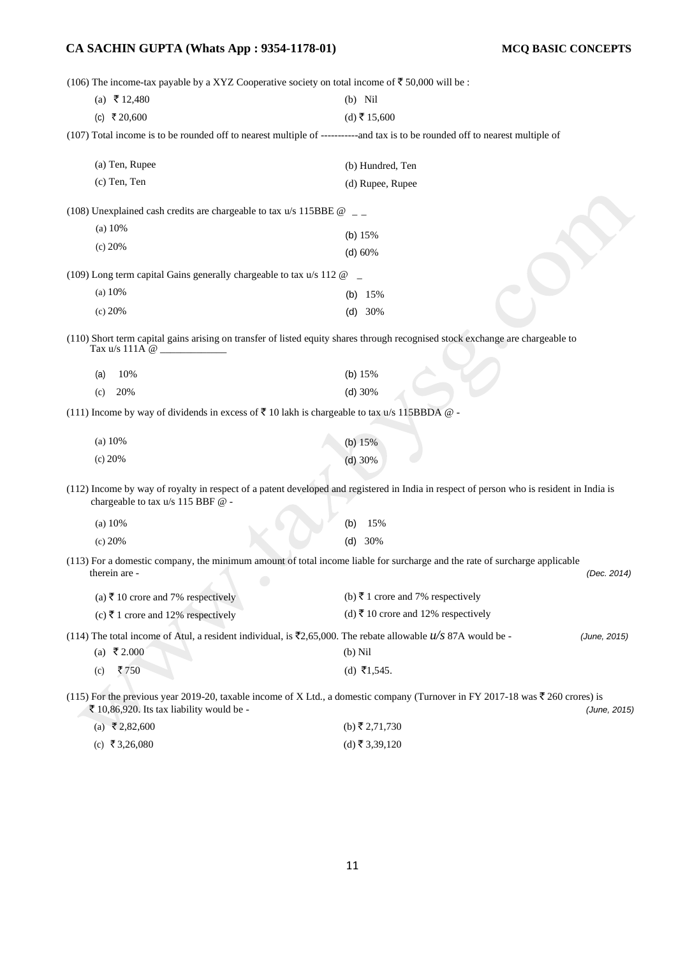(106) The income-tax payable by a XYZ Cooperative society on total income of  $\bar{\mathfrak{F}}$  50,000 will be :

| (100) The income tax payable by a $\lambda \overline{\lambda}$ to experience society on total income of $\lambda$ 50,000 will be. |                                                                                                                                           |              |
|-----------------------------------------------------------------------------------------------------------------------------------|-------------------------------------------------------------------------------------------------------------------------------------------|--------------|
| (a) ₹ 12,480                                                                                                                      | $(b)$ Nil                                                                                                                                 |              |
| (c) ₹ 20,600                                                                                                                      | (d) ₹ 15,600                                                                                                                              |              |
|                                                                                                                                   | (107) Total income is to be rounded off to nearest multiple of -----------and tax is to be rounded off to nearest multiple of             |              |
| (a) Ten, Rupee                                                                                                                    | (b) Hundred, Ten                                                                                                                          |              |
| (c) Ten, Ten                                                                                                                      | (d) Rupee, Rupee                                                                                                                          |              |
| (108) Unexplained cash credits are chargeable to tax u/s 115BBE $@$ _                                                             |                                                                                                                                           |              |
| (a) $10\%$                                                                                                                        | (b) $15%$                                                                                                                                 |              |
| (c) 20%                                                                                                                           | (d) 60%                                                                                                                                   |              |
| (109) Long term capital Gains generally chargeable to tax u/s 112 @                                                               |                                                                                                                                           |              |
| (a) $10\%$                                                                                                                        | (b) $15%$                                                                                                                                 |              |
| (c) 20%                                                                                                                           | (d) 30%                                                                                                                                   |              |
| Tax $u/s$ 111A $\omega$                                                                                                           | (110) Short term capital gains arising on transfer of listed equity shares through recognised stock exchange are chargeable to            |              |
| 10%<br>(a)                                                                                                                        | (b) $15%$                                                                                                                                 |              |
| 20%<br>(c)                                                                                                                        | (d) 30%                                                                                                                                   |              |
| (111) Income by way of dividends in excess of ₹ 10 lakh is chargeable to tax u/s 115BBDA $@$ -                                    |                                                                                                                                           |              |
| (a) 10%                                                                                                                           | (b) $15%$                                                                                                                                 |              |
| (c) 20%                                                                                                                           | $(d)$ 30%                                                                                                                                 |              |
| chargeable to tax u/s 115 BBF @ -                                                                                                 | (112) Income by way of royalty in respect of a patent developed and registered in India in respect of person who is resident in India is  |              |
| (a) $10\%$                                                                                                                        | 15%<br>(b)                                                                                                                                |              |
| (c) 20%                                                                                                                           | 30%<br>(d)                                                                                                                                |              |
| therein are -                                                                                                                     | (113) For a domestic company, the minimum amount of total income liable for surcharge and the rate of surcharge applicable                | (Dec. 2014)  |
| (a) ₹ 10 crore and 7% respectively                                                                                                | (b) ₹ 1 crore and 7% respectively                                                                                                         |              |
| (c) ₹ 1 crore and 12% respectively                                                                                                | (d) ₹ 10 crore and 12% respectively                                                                                                       |              |
| (114) The total income of Atul, a resident individual, is $\overline{z}2,65,000$ . The rebate allowable $u/s$ 87A would be -      |                                                                                                                                           | (June, 2015) |
| (a) ₹2.000                                                                                                                        | $(b)$ Nil                                                                                                                                 |              |
| ₹750<br>(c)                                                                                                                       | (d) ₹1,545.                                                                                                                               |              |
| ₹ 10,86,920. Its tax liability would be -                                                                                         | (115) For the previous year 2019-20, taxable income of X Ltd., a domestic company (Turnover in FY 2017-18 was $\bar{\tau}$ 260 crores) is | (June, 2015) |
| $(2)$ $\overline{2}$ 2 2 600                                                                                                      | $(h) \mathbf{F} 2 71 730$                                                                                                                 |              |

| (a) ₹2,82,600 | (b) ₹ 2,71,730 |
|---------------|----------------|
| (c) ₹3,26,080 | (d) ₹ 3,39,120 |